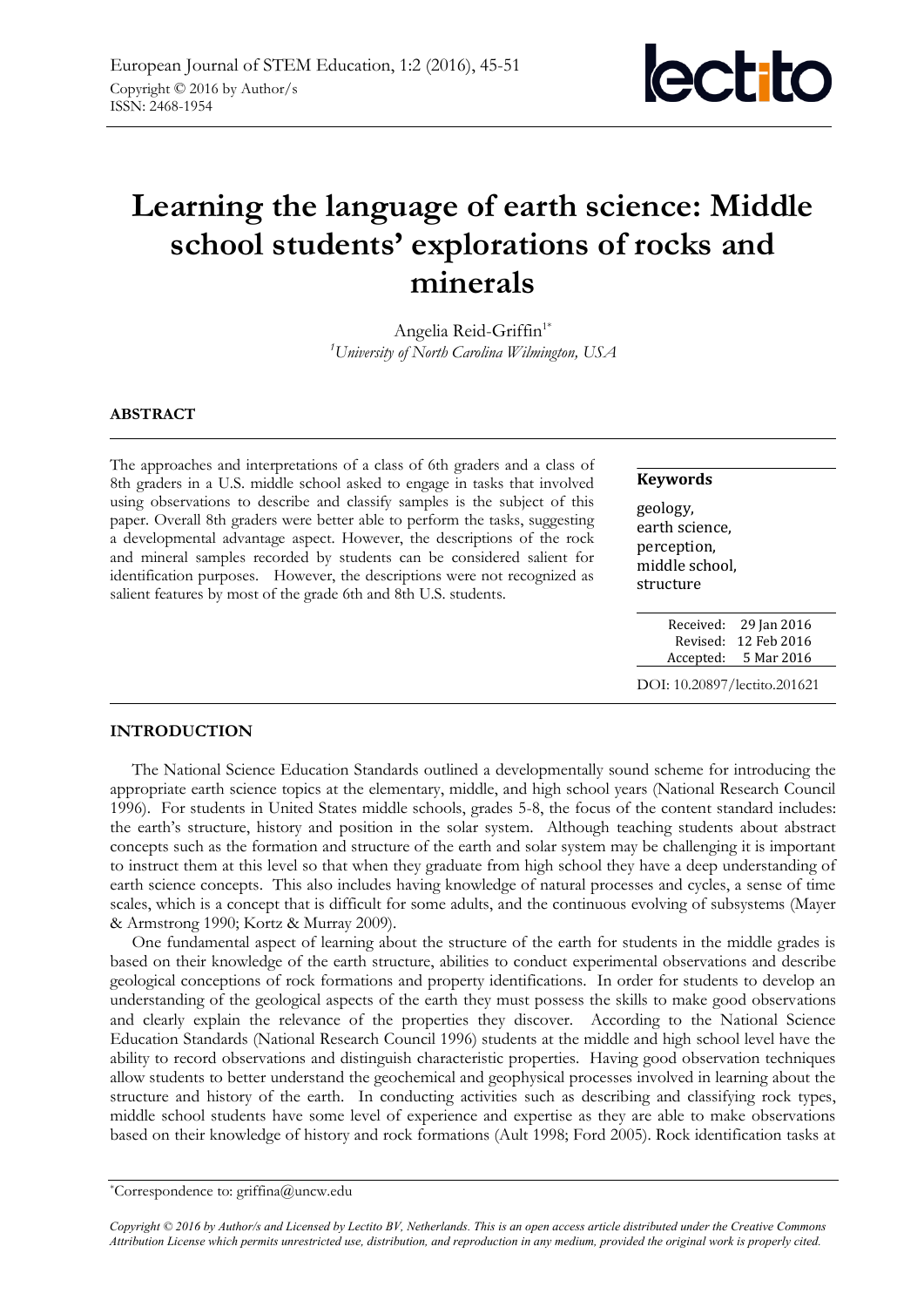

# **Learning the language of earth science: Middle school students' explorations of rocks and minerals**

Angelia Reid-Griffin<sup>1\*</sup> *<sup>1</sup>University of North Carolina Wilmington, USA* 

## **ABSTRACT**

The approaches and interpretations of a class of 6th graders and a class of 8th graders in a U.S. middle school asked to engage in tasks that involved using observations to describe and classify samples is the subject of this paper. Overall 8th graders were better able to perform the tasks, suggesting a developmental advantage aspect. However, the descriptions of the rock and mineral samples recorded by students can be considered salient for identification purposes. However, the descriptions were not recognized as salient features by most of the grade 6th and 8th U.S. students.

#### **Keywords**

geology, earth science, perception, middle school, structure

| Received: | 29 Jan 2016 |
|-----------|-------------|
| Revised:  | 12 Feb 2016 |
| Accepted: | 5 Mar 2016  |
|           |             |

DOI: 10.20897/lectito.201621

## **INTRODUCTION**

The National Science Education Standards outlined a developmentally sound scheme for introducing the appropriate earth science topics at the elementary, middle, and high school years (National Research Council 1996). For students in United States middle schools, grades 5-8, the focus of the content standard includes: the earth's structure, history and position in the solar system. Although teaching students about abstract concepts such as the formation and structure of the earth and solar system may be challenging it is important to instruct them at this level so that when they graduate from high school they have a deep understanding of earth science concepts. This also includes having knowledge of natural processes and cycles, a sense of time scales, which is a concept that is difficult for some adults, and the continuous evolving of subsystems (Mayer & Armstrong 1990; Kortz & Murray 2009).

One fundamental aspect of learning about the structure of the earth for students in the middle grades is based on their knowledge of the earth structure, abilities to conduct experimental observations and describe geological conceptions of rock formations and property identifications. In order for students to develop an understanding of the geological aspects of the earth they must possess the skills to make good observations and clearly explain the relevance of the properties they discover. According to the National Science Education Standards (National Research Council 1996) students at the middle and high school level have the ability to record observations and distinguish characteristic properties. Having good observation techniques allow students to better understand the geochemical and geophysical processes involved in learning about the structure and history of the earth. In conducting activities such as describing and classifying rock types, middle school students have some level of experience and expertise as they are able to make observations based on their knowledge of history and rock formations (Ault 1998; Ford 2005). Rock identification tasks at

*Copyright © 2016 by Author/s and Licensed by Lectito BV, Netherlands. This is an open access article distributed under the Creative Commons Attribution License which permits unrestricted use, distribution, and reproduction in any medium, provided the original work is properly cited.*

<sup>\*</sup>Correspondence to: griffina@uncw.edu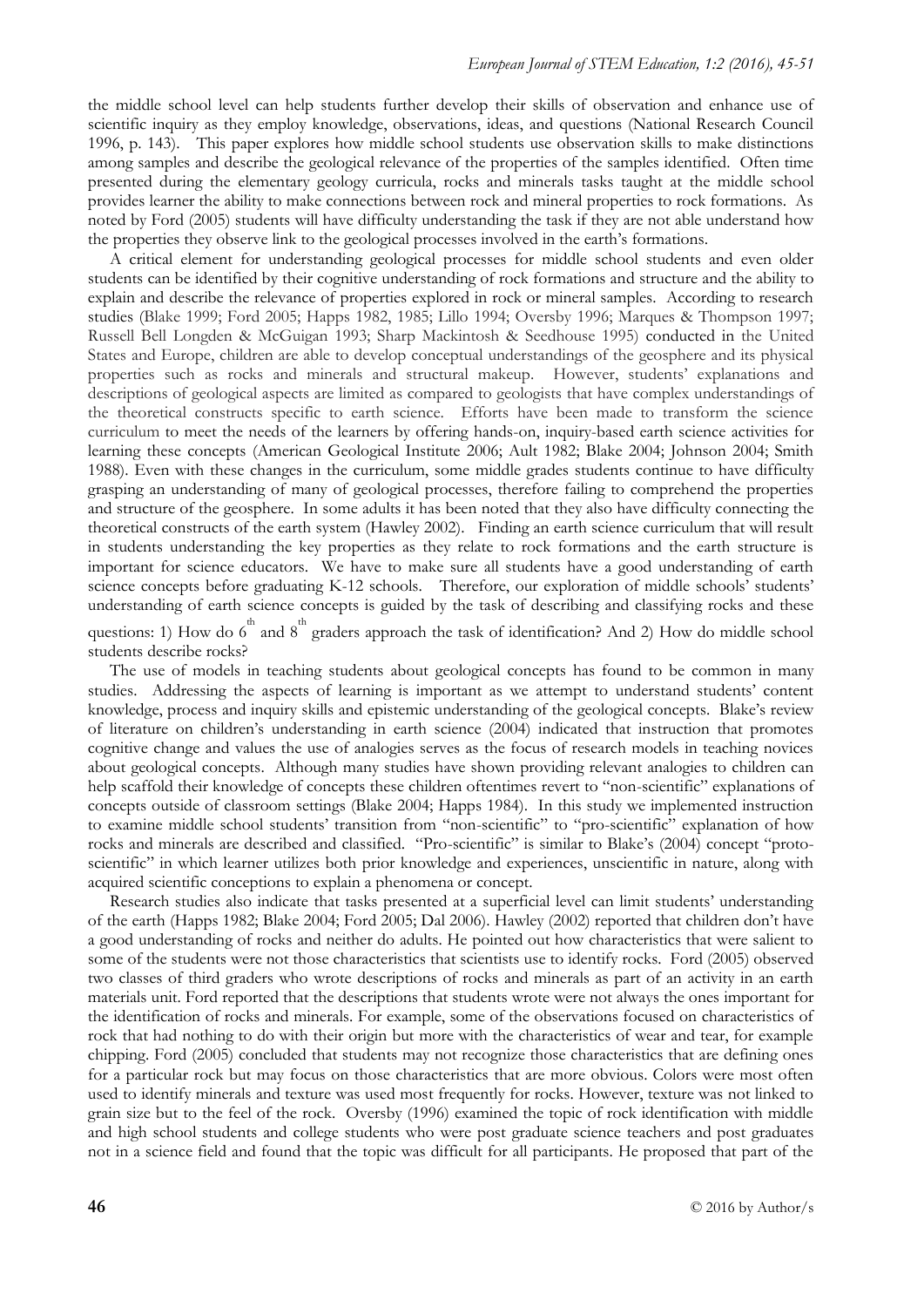the middle school level can help students further develop their skills of observation and enhance use of scientific inquiry as they employ knowledge, observations, ideas, and questions (National Research Council 1996, p. 143). This paper explores how middle school students use observation skills to make distinctions among samples and describe the geological relevance of the properties of the samples identified. Often time presented during the elementary geology curricula, rocks and minerals tasks taught at the middle school provides learner the ability to make connections between rock and mineral properties to rock formations. As noted by Ford (2005) students will have difficulty understanding the task if they are not able understand how the properties they observe link to the geological processes involved in the earth's formations.

A critical element for understanding geological processes for middle school students and even older students can be identified by their cognitive understanding of rock formations and structure and the ability to explain and describe the relevance of properties explored in rock or mineral samples. According to research studies (Blake 1999; Ford 2005; Happs 1982, 1985; Lillo 1994; Oversby 1996; Marques & Thompson 1997; Russell Bell Longden & McGuigan 1993; Sharp Mackintosh & Seedhouse 1995) conducted in the United States and Europe, children are able to develop conceptual understandings of the geosphere and its physical properties such as rocks and minerals and structural makeup. However, students' explanations and descriptions of geological aspects are limited as compared to geologists that have complex understandings of the theoretical constructs specific to earth science. Efforts have been made to transform the science curriculum to meet the needs of the learners by offering hands-on, inquiry-based earth science activities for learning these concepts (American Geological Institute 2006; Ault 1982; Blake 2004; Johnson 2004; Smith 1988). Even with these changes in the curriculum, some middle grades students continue to have difficulty grasping an understanding of many of geological processes, therefore failing to comprehend the properties and structure of the geosphere. In some adults it has been noted that they also have difficulty connecting the theoretical constructs of the earth system (Hawley 2002). Finding an earth science curriculum that will result in students understanding the key properties as they relate to rock formations and the earth structure is important for science educators. We have to make sure all students have a good understanding of earth science concepts before graduating K-12 schools. Therefore, our exploration of middle schools' students' understanding of earth science concepts is guided by the task of describing and classifying rocks and these

questions: 1) How do  $6^{th}$  and  $8^{th}$  graders approach the task of identification? And 2) How do middle school students describe rocks?

The use of models in teaching students about geological concepts has found to be common in many studies. Addressing the aspects of learning is important as we attempt to understand students' content knowledge, process and inquiry skills and epistemic understanding of the geological concepts. Blake's review of literature on children's understanding in earth science (2004) indicated that instruction that promotes cognitive change and values the use of analogies serves as the focus of research models in teaching novices about geological concepts. Although many studies have shown providing relevant analogies to children can help scaffold their knowledge of concepts these children oftentimes revert to "non-scientific" explanations of concepts outside of classroom settings (Blake 2004; Happs 1984). In this study we implemented instruction to examine middle school students' transition from "non-scientific" to "pro-scientific" explanation of how rocks and minerals are described and classified. "Pro-scientific" is similar to Blake's (2004) concept "protoscientific" in which learner utilizes both prior knowledge and experiences, unscientific in nature, along with acquired scientific conceptions to explain a phenomena or concept.

Research studies also indicate that tasks presented at a superficial level can limit students' understanding of the earth (Happs 1982; Blake 2004; Ford 2005; Dal 2006). Hawley (2002) reported that children don't have a good understanding of rocks and neither do adults. He pointed out how characteristics that were salient to some of the students were not those characteristics that scientists use to identify rocks. Ford (2005) observed two classes of third graders who wrote descriptions of rocks and minerals as part of an activity in an earth materials unit. Ford reported that the descriptions that students wrote were not always the ones important for the identification of rocks and minerals. For example, some of the observations focused on characteristics of rock that had nothing to do with their origin but more with the characteristics of wear and tear, for example chipping. Ford (2005) concluded that students may not recognize those characteristics that are defining ones for a particular rock but may focus on those characteristics that are more obvious. Colors were most often used to identify minerals and texture was used most frequently for rocks. However, texture was not linked to grain size but to the feel of the rock. Oversby (1996) examined the topic of rock identification with middle and high school students and college students who were post graduate science teachers and post graduates not in a science field and found that the topic was difficult for all participants. He proposed that part of the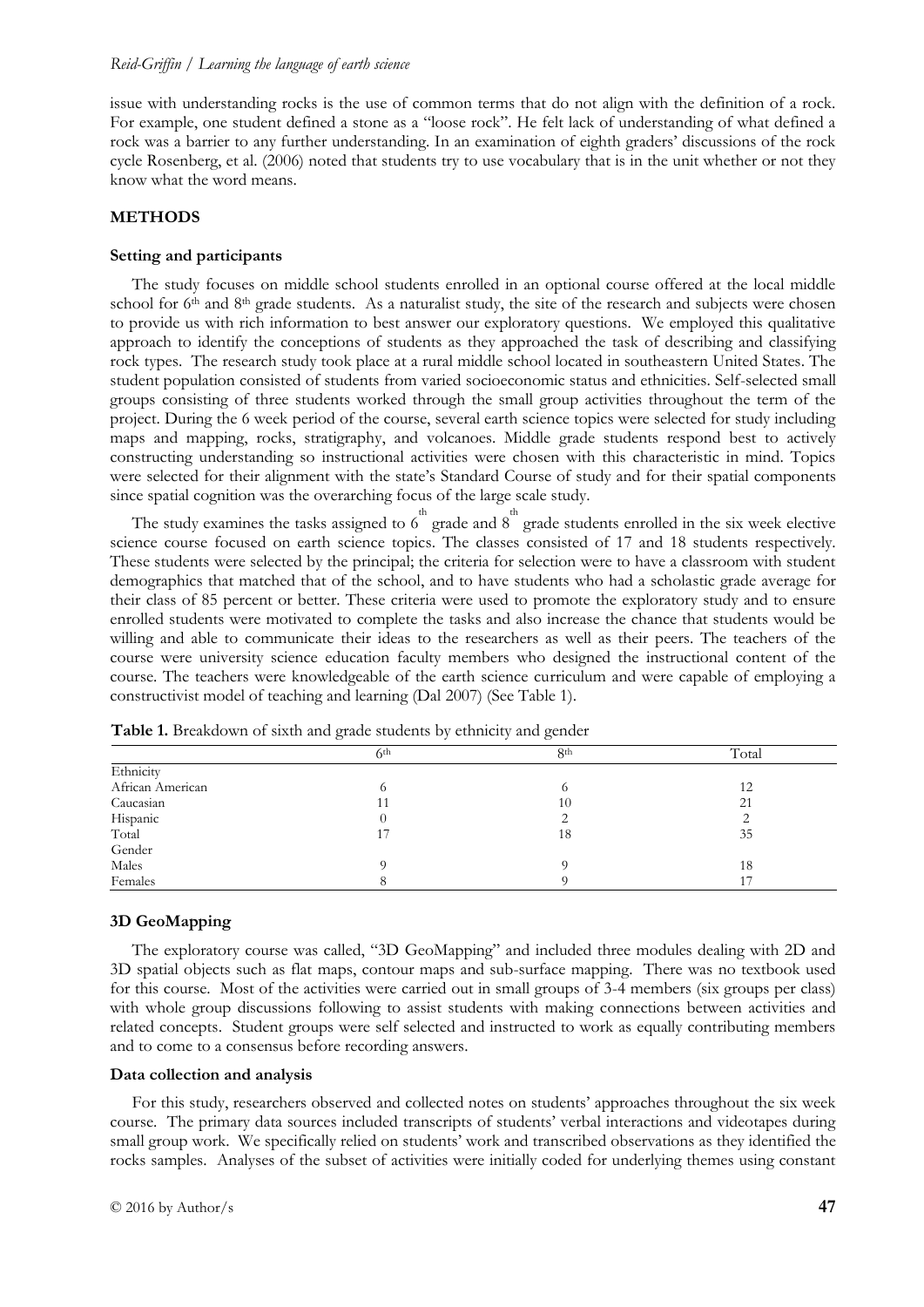#### *Reid-Griffin / Learning the language of earth science*

issue with understanding rocks is the use of common terms that do not align with the definition of a rock. For example, one student defined a stone as a "loose rock". He felt lack of understanding of what defined a rock was a barrier to any further understanding. In an examination of eighth graders' discussions of the rock cycle Rosenberg, et al. (2006) noted that students try to use vocabulary that is in the unit whether or not they know what the word means.

## **METHODS**

#### **Setting and participants**

The study focuses on middle school students enrolled in an optional course offered at the local middle school for 6<sup>th</sup> and 8<sup>th</sup> grade students. As a naturalist study, the site of the research and subjects were chosen to provide us with rich information to best answer our exploratory questions. We employed this qualitative approach to identify the conceptions of students as they approached the task of describing and classifying rock types. The research study took place at a rural middle school located in southeastern United States. The student population consisted of students from varied socioeconomic status and ethnicities. Self-selected small groups consisting of three students worked through the small group activities throughout the term of the project. During the 6 week period of the course, several earth science topics were selected for study including maps and mapping, rocks, stratigraphy, and volcanoes. Middle grade students respond best to actively constructing understanding so instructional activities were chosen with this characteristic in mind. Topics were selected for their alignment with the state's Standard Course of study and for their spatial components since spatial cognition was the overarching focus of the large scale study.

The study examines the tasks assigned to  $6^{th}$  grade and  $8^{th}$  grade students enrolled in the six week elective science course focused on earth science topics. The classes consisted of 17 and 18 students respectively. These students were selected by the principal; the criteria for selection were to have a classroom with student demographics that matched that of the school, and to have students who had a scholastic grade average for their class of 85 percent or better. These criteria were used to promote the exploratory study and to ensure enrolled students were motivated to complete the tasks and also increase the chance that students would be willing and able to communicate their ideas to the researchers as well as their peers. The teachers of the course were university science education faculty members who designed the instructional content of the course. The teachers were knowledgeable of the earth science curriculum and were capable of employing a constructivist model of teaching and learning (Dal 2007) (See Table 1).

|                  | 6 <sup>th</sup> | 8 <sup>th</sup> | Total |
|------------------|-----------------|-----------------|-------|
| Ethnicity        |                 |                 |       |
| African American |                 |                 | 12    |
| Caucasian        | 11              | 10              | 21    |
| Hispanic         |                 |                 |       |
| Total            | 17              | 18              | 35    |
| Gender           |                 |                 |       |
| Males            |                 |                 | 18    |
| Females          |                 |                 |       |

**Table 1.** Breakdown of sixth and grade students by ethnicity and gender

#### **3D GeoMapping**

The exploratory course was called, "3D GeoMapping" and included three modules dealing with 2D and 3D spatial objects such as flat maps, contour maps and sub-surface mapping. There was no textbook used for this course. Most of the activities were carried out in small groups of 3-4 members (six groups per class) with whole group discussions following to assist students with making connections between activities and related concepts. Student groups were self selected and instructed to work as equally contributing members and to come to a consensus before recording answers.

#### **Data collection and analysis**

For this study, researchers observed and collected notes on students' approaches throughout the six week course. The primary data sources included transcripts of students' verbal interactions and videotapes during small group work. We specifically relied on students' work and transcribed observations as they identified the rocks samples. Analyses of the subset of activities were initially coded for underlying themes using constant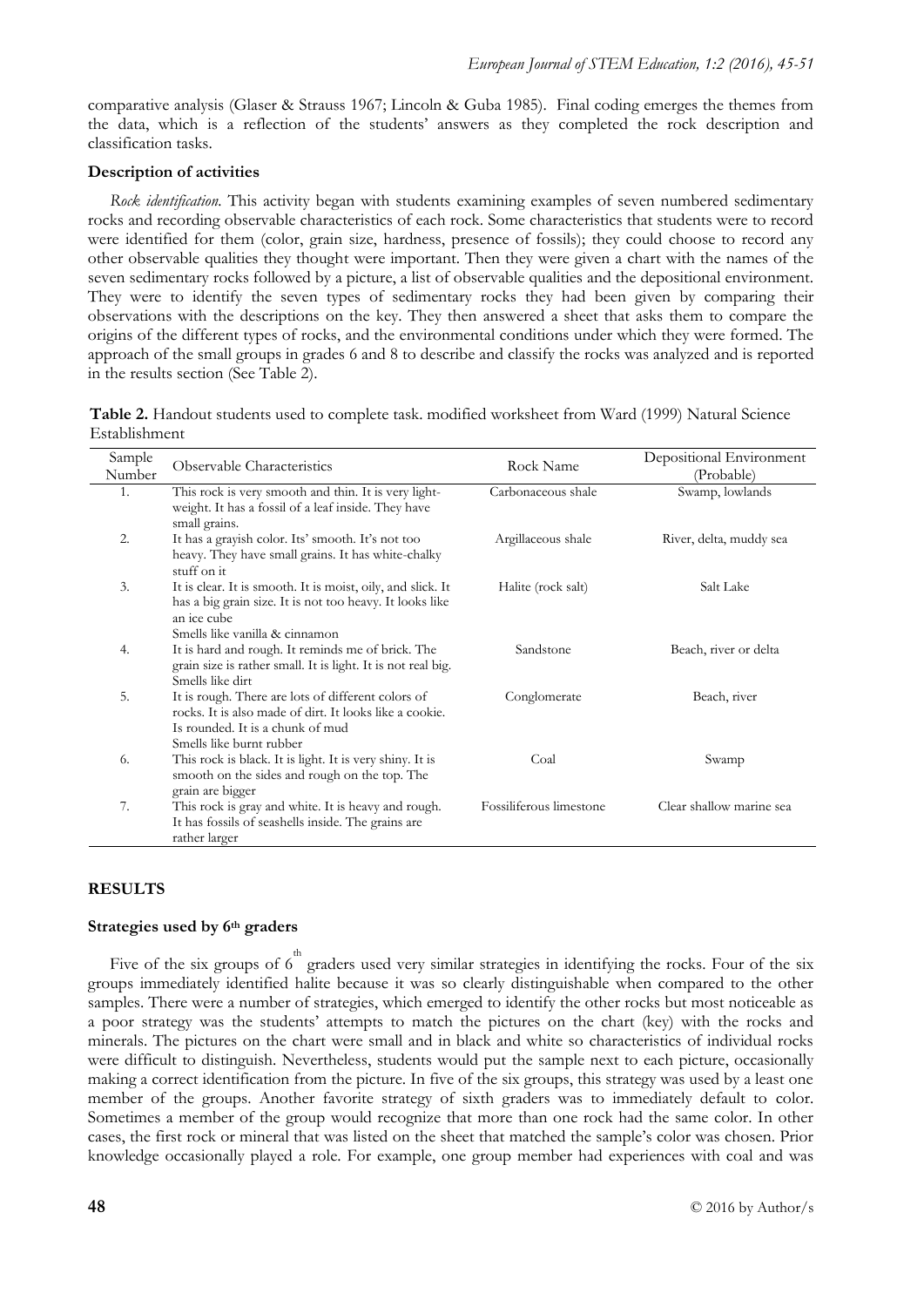comparative analysis (Glaser & Strauss 1967; Lincoln & Guba 1985). Final coding emerges the themes from the data, which is a reflection of the students' answers as they completed the rock description and classification tasks.

## **Description of activities**

*Rock identification.* This activity began with students examining examples of seven numbered sedimentary rocks and recording observable characteristics of each rock. Some characteristics that students were to record were identified for them (color, grain size, hardness, presence of fossils); they could choose to record any other observable qualities they thought were important. Then they were given a chart with the names of the seven sedimentary rocks followed by a picture, a list of observable qualities and the depositional environment. They were to identify the seven types of sedimentary rocks they had been given by comparing their observations with the descriptions on the key. They then answered a sheet that asks them to compare the origins of the different types of rocks, and the environmental conditions under which they were formed. The approach of the small groups in grades 6 and 8 to describe and classify the rocks was analyzed and is reported in the results section (See Table 2).

**Table 2.** Handout students used to complete task. modified worksheet from Ward (1999) Natural Science Establishment

| Sample<br>Number | Observable Characteristics                                                                                                                                                    | Rock Name               | Depositional Environment<br>(Probable) |
|------------------|-------------------------------------------------------------------------------------------------------------------------------------------------------------------------------|-------------------------|----------------------------------------|
| 1.               | This rock is very smooth and thin. It is very light-<br>weight. It has a fossil of a leaf inside. They have<br>small grains.                                                  | Carbonaceous shale      | Swamp, lowlands                        |
| 2.               | It has a grayish color. Its' smooth. It's not too<br>heavy. They have small grains. It has white-chalky<br>stuff on it                                                        | Argillaceous shale      | River, delta, muddy sea                |
| 3.               | It is clear. It is smooth. It is moist, oily, and slick. It<br>has a big grain size. It is not too heavy. It looks like<br>an ice cube<br>Smells like vanilla & cinnamon      | Halite (rock salt)      | Salt Lake                              |
| 4.               | It is hard and rough. It reminds me of brick. The<br>grain size is rather small. It is light. It is not real big.<br>Smells like dirt                                         | Sandstone               | Beach, river or delta                  |
| 5.               | It is rough. There are lots of different colors of<br>rocks. It is also made of dirt. It looks like a cookie.<br>Is rounded. It is a chunk of mud<br>Smells like burnt rubber | Conglomerate            | Beach, river                           |
| 6.               | This rock is black. It is light. It is very shiny. It is<br>smooth on the sides and rough on the top. The<br>grain are bigger                                                 | Coal                    | Swamp                                  |
| 7.               | This rock is gray and white. It is heavy and rough.<br>It has fossils of seashells inside. The grains are<br>rather larger                                                    | Fossiliferous limestone | Clear shallow marine sea               |

## **RESULTS**

## **Strategies used by 6th graders**

Five of the six groups of 6<sup>th</sup> graders used very similar strategies in identifying the rocks. Four of the six groups immediately identified halite because it was so clearly distinguishable when compared to the other samples. There were a number of strategies, which emerged to identify the other rocks but most noticeable as a poor strategy was the students' attempts to match the pictures on the chart (key) with the rocks and minerals. The pictures on the chart were small and in black and white so characteristics of individual rocks were difficult to distinguish. Nevertheless, students would put the sample next to each picture, occasionally making a correct identification from the picture. In five of the six groups, this strategy was used by a least one member of the groups. Another favorite strategy of sixth graders was to immediately default to color. Sometimes a member of the group would recognize that more than one rock had the same color. In other cases, the first rock or mineral that was listed on the sheet that matched the sample's color was chosen. Prior knowledge occasionally played a role. For example, one group member had experiences with coal and was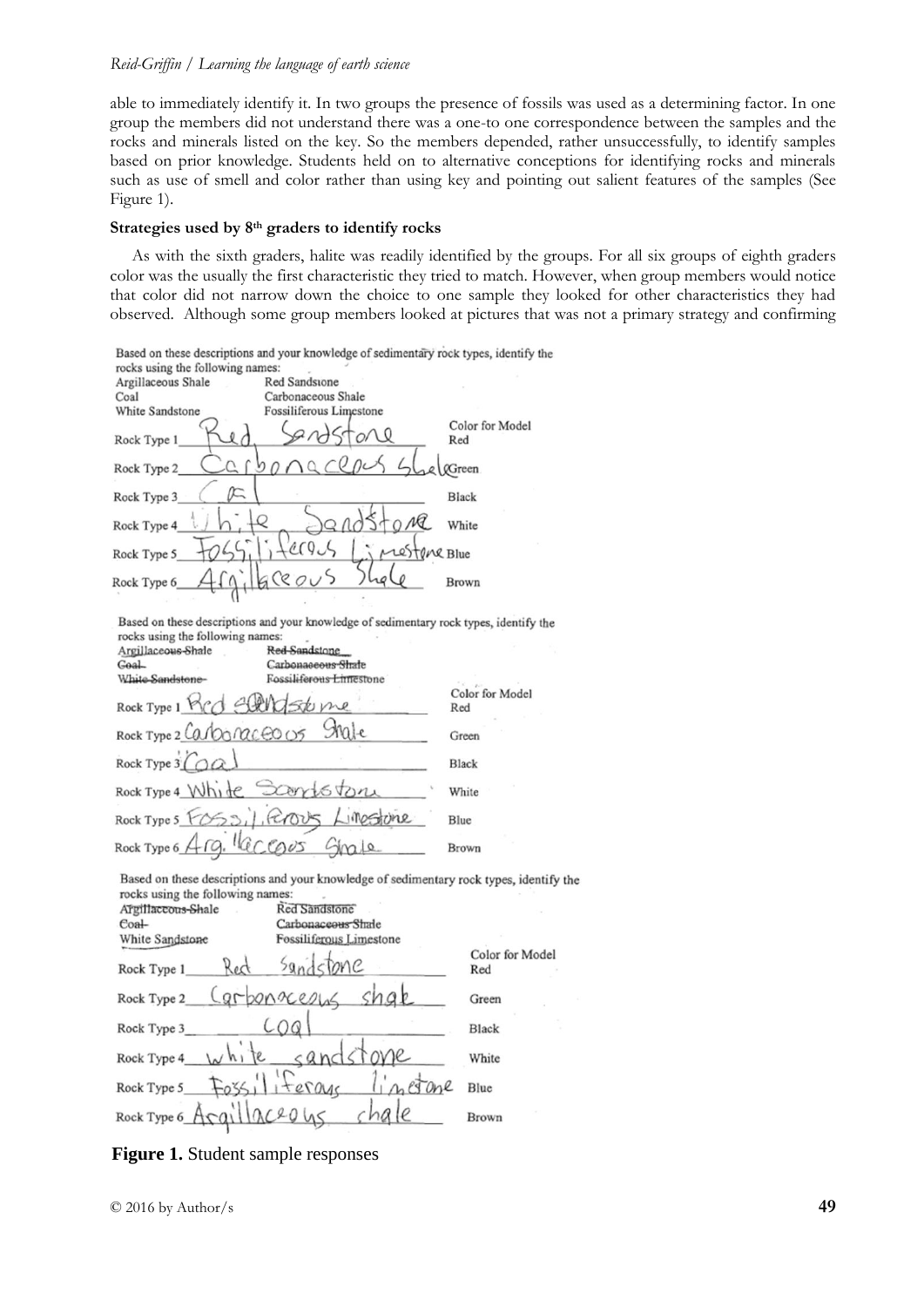## *Reid-Griffin / Learning the language of earth science*

able to immediately identify it. In two groups the presence of fossils was used as a determining factor. In one group the members did not understand there was a one-to one correspondence between the samples and the rocks and minerals listed on the key. So the members depended, rather unsuccessfully, to identify samples based on prior knowledge. Students held on to alternative conceptions for identifying rocks and minerals such as use of smell and color rather than using key and pointing out salient features of the samples (See Figure 1).

## **Strategies used by 8th graders to identify rocks**

As with the sixth graders, halite was readily identified by the groups. For all six groups of eighth graders color was the usually the first characteristic they tried to match. However, when group members would notice that color did not narrow down the choice to one sample they looked for other characteristics they had observed. Although some group members looked at pictures that was not a primary strategy and confirming

|                                                                                    | Based on these descriptions and your knowledge of sedimentary rock types, identify the                                                                   |                 |
|------------------------------------------------------------------------------------|----------------------------------------------------------------------------------------------------------------------------------------------------------|-----------------|
| rocks using the following names:                                                   |                                                                                                                                                          |                 |
| Argillaceous Shale                                                                 | Red Sandstone                                                                                                                                            |                 |
| Coal                                                                               | Carbonaceous Shale                                                                                                                                       |                 |
| White Sandstone                                                                    | Fossiliferous Limestone                                                                                                                                  |                 |
|                                                                                    |                                                                                                                                                          | Color for Model |
| Rock Type 1                                                                        |                                                                                                                                                          | Red             |
|                                                                                    |                                                                                                                                                          |                 |
| Rock Type 2                                                                        |                                                                                                                                                          | <b>@Green</b>   |
| Rock Type 3                                                                        |                                                                                                                                                          | Black           |
|                                                                                    |                                                                                                                                                          |                 |
| Rock Type 4                                                                        | лG                                                                                                                                                       | White           |
| Rock Type 5                                                                        | restene Blue                                                                                                                                             |                 |
|                                                                                    |                                                                                                                                                          |                 |
| Rock Type 6                                                                        | 20005                                                                                                                                                    | Brown           |
|                                                                                    |                                                                                                                                                          |                 |
| rocks using the following names:<br>Argillaceous-Shale<br>Goal<br>White Sandstone- | Based on these descriptions and your knowledge of sedimentary rock types, identify the<br>Red-Sandstone<br>Carbonaseous Shate<br>Fossiliferous Limestone |                 |
|                                                                                    |                                                                                                                                                          | Color for Model |
| $-180$<br>Rock Type 1 MCC                                                          |                                                                                                                                                          | Red             |
| Rock Type 2 Carbo naceo 05                                                         |                                                                                                                                                          |                 |
|                                                                                    |                                                                                                                                                          | Green           |
| Rock Type 3 (OQ)                                                                   |                                                                                                                                                          | Black           |
| Rock Type 4 White Scorriston                                                       |                                                                                                                                                          | White           |
| Rock Type 5 10531, ROUS                                                            |                                                                                                                                                          | Blue            |

Based on these descriptions and your knowledge of sedimentary rock types, identify the rocks using the following names:

| Argillaccous-Shale<br>$Coa+$ | Red Sandstone<br>Carbonaceous Shale |                        |
|------------------------------|-------------------------------------|------------------------|
| White Sandstone              | Fossiliferous Limestone             |                        |
| Red<br>Rock Type 1           | Sandstone                           | Color for Model<br>Red |
| Rock Type 2_                 | Carponaceous shak                   | Green                  |
| Rock Type 3                  |                                     | Black                  |
| $v^h$<br>Rock Type 4         |                                     | White                  |
| Rock Type 5                  | iterage                             | Blue                   |
| Rock Type 6 Aca              | 20                                  | Brown                  |

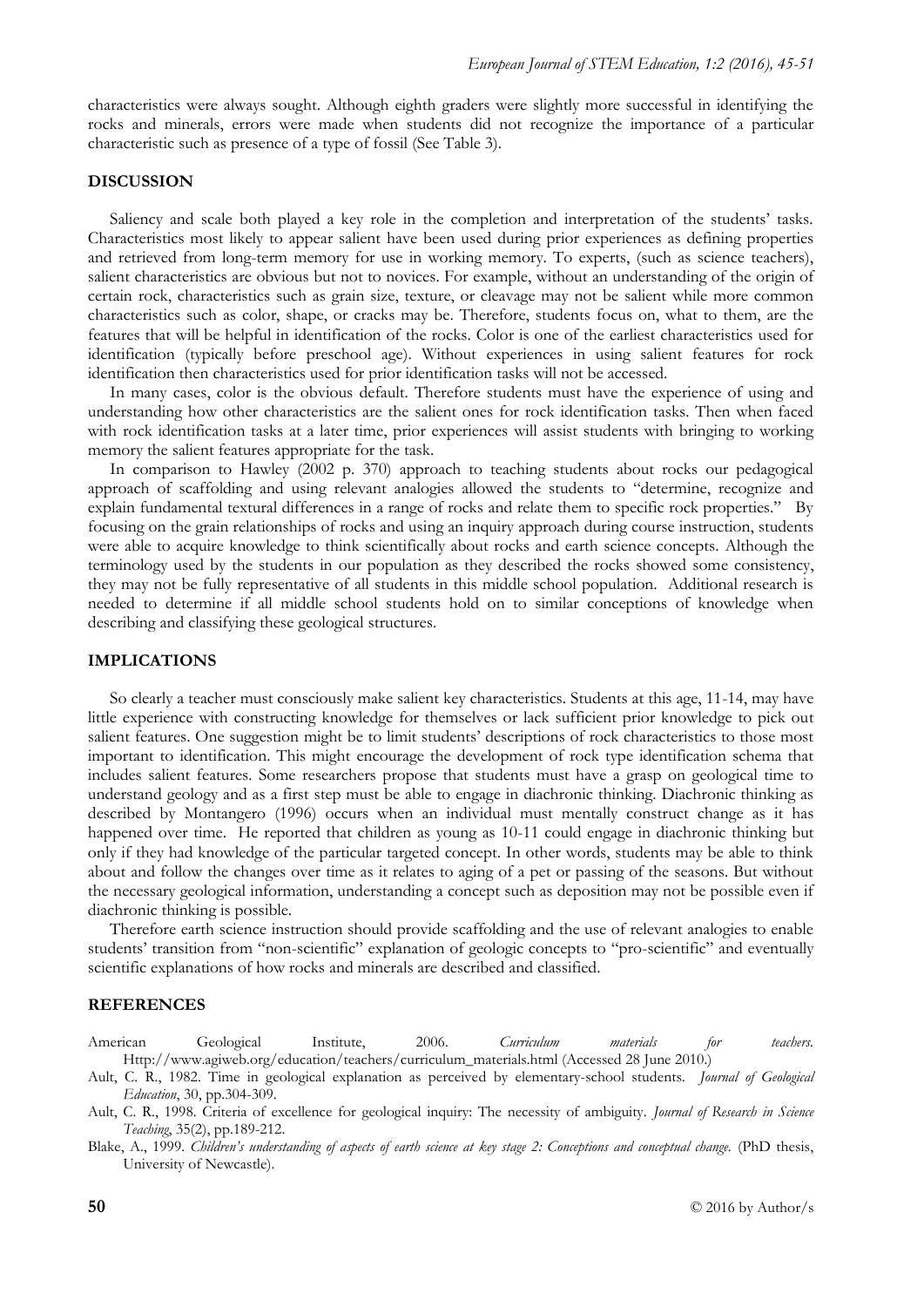characteristics were always sought. Although eighth graders were slightly more successful in identifying the rocks and minerals, errors were made when students did not recognize the importance of a particular characteristic such as presence of a type of fossil (See Table 3).

### **DISCUSSION**

Saliency and scale both played a key role in the completion and interpretation of the students' tasks. Characteristics most likely to appear salient have been used during prior experiences as defining properties and retrieved from long-term memory for use in working memory. To experts, (such as science teachers), salient characteristics are obvious but not to novices. For example, without an understanding of the origin of certain rock, characteristics such as grain size, texture, or cleavage may not be salient while more common characteristics such as color, shape, or cracks may be. Therefore, students focus on, what to them, are the features that will be helpful in identification of the rocks. Color is one of the earliest characteristics used for identification (typically before preschool age). Without experiences in using salient features for rock identification then characteristics used for prior identification tasks will not be accessed.

In many cases, color is the obvious default. Therefore students must have the experience of using and understanding how other characteristics are the salient ones for rock identification tasks. Then when faced with rock identification tasks at a later time, prior experiences will assist students with bringing to working memory the salient features appropriate for the task.

In comparison to Hawley (2002 p. 370) approach to teaching students about rocks our pedagogical approach of scaffolding and using relevant analogies allowed the students to "determine, recognize and explain fundamental textural differences in a range of rocks and relate them to specific rock properties." By focusing on the grain relationships of rocks and using an inquiry approach during course instruction, students were able to acquire knowledge to think scientifically about rocks and earth science concepts. Although the terminology used by the students in our population as they described the rocks showed some consistency, they may not be fully representative of all students in this middle school population. Additional research is needed to determine if all middle school students hold on to similar conceptions of knowledge when describing and classifying these geological structures.

#### **IMPLICATIONS**

So clearly a teacher must consciously make salient key characteristics. Students at this age, 11-14, may have little experience with constructing knowledge for themselves or lack sufficient prior knowledge to pick out salient features. One suggestion might be to limit students' descriptions of rock characteristics to those most important to identification. This might encourage the development of rock type identification schema that includes salient features. Some researchers propose that students must have a grasp on geological time to understand geology and as a first step must be able to engage in diachronic thinking. Diachronic thinking as described by Montangero (1996) occurs when an individual must mentally construct change as it has happened over time. He reported that children as young as 10-11 could engage in diachronic thinking but only if they had knowledge of the particular targeted concept. In other words, students may be able to think about and follow the changes over time as it relates to aging of a pet or passing of the seasons. But without the necessary geological information, understanding a concept such as deposition may not be possible even if diachronic thinking is possible.

Therefore earth science instruction should provide scaffolding and the use of relevant analogies to enable students' transition from "non-scientific" explanation of geologic concepts to "pro-scientific" and eventually scientific explanations of how rocks and minerals are described and classified.

#### **REFERENCES**

American Geological Institute, 2006. *Curriculum materials for teachers.* Http://www.agiweb.org/education/teachers/curriculum\_materials.html (Accessed 28 June 2010.)

Ault, C. R., 1982. Time in geological explanation as perceived by elementary-school students. *Journal of Geological Education*, 30, pp.304-309.

Ault, C. R., 1998. Criteria of excellence for geological inquiry: The necessity of ambiguity. *Journal of Research in Science Teaching*, 35(2), pp.189-212.

Blake, A., 1999. *Children's understanding of aspects of earth science at key stage 2: Conceptions and conceptual change.* (PhD thesis, University of Newcastle).